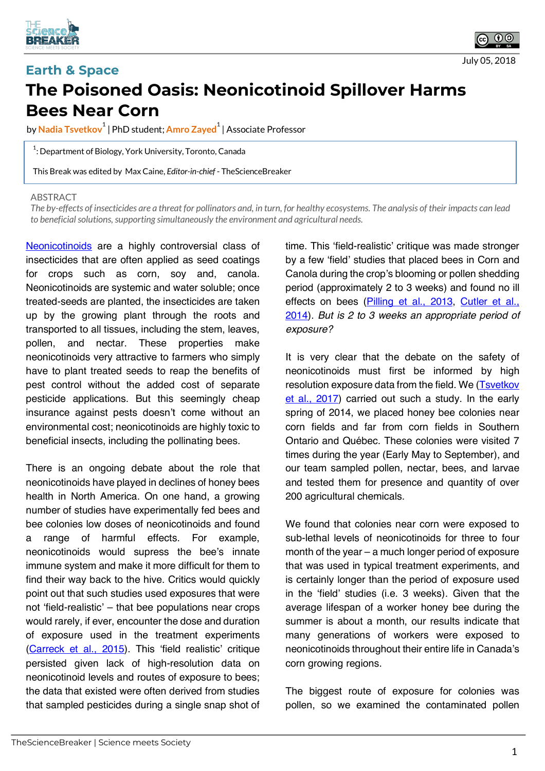



## **Earth & Space The Poisoned Oasis: Neonicotinoid Spillover Harms Bees Near Corn**

by <mark>Nadia Tsvetkov $^1$ </mark> | PhD student; <mark>Amro Zayed $^1$ </mark> | Associate Professor

 $1$ : Department of Biology, York University, Toronto, Canada

This Break was edited by Max Caine, *Editor-in-chief* - TheScienceBreaker

## **ABSTRACT**

The by-effects of insecticides are a threat for pollinators and, in turn, for healthy ecosystems. The analysis of their impacts can lead *to beneficial solutions, supporting simultaneously the environment and agricultural needs.*

Neonicotinoids are a highly controversial class of insecticides that are often applied as seed coatings for crops such as corn, soy and, canola. Neonicotinoids are systemic and water soluble; once treated-seeds are planted, the insecticides are taken up by the growing plant through the roots and transported to all tissues, including the stem, leaves, pollen, and nectar. These properties make neonicotinoids very attractive to farmers who simply have to plant treated seeds to reap the benefits of pest control without the added cost of separate pesticide applications. But this seemingly cheap insurance against pests doesn't come without an environmental cost; neonicotinoids are highly toxic to beneficial insects, including the pollinating bees.

There is an ongoing debate about the role that neonicotinoids have played in declines of honey bees health in North America. On one hand, a growing number of studies have experimentally fed bees and bee colonies low doses of neonicotinoids and found a range of harmful effects. For example, neonicotinoids would supress the bee's innate immune system and make it more difficult for them to find their way back to the hive. Critics would quickly point out that such studies used exposures that were not 'field-realistic' – that bee populations near crops would rarely, if ever, encounter the dose and duration of exposure used in the treatment experiments (Carreck et al., 2015). This 'field realistic' critique persisted given lack of high-resolution data on neonicotinoid levels and routes of exposure to bees; the data that existed were often derived from studies that sampled pesticides during a single snap shot of

time. This 'field-realistic' critique was made stronger by a few 'field' studies that placed bees in Corn and Canola during the crop's blooming or pollen shedding period (approximately 2 to 3 weeks) and found no ill effects on bees (Pilling et al., 2013, Cutler et al., 2014). *But is 2 to 3 weeks an appropriate period of exposure?*

It is very clear that the debate on the safety of neonicotinoids must first be informed by high resolution exposure data from the field. We (Tsvetkov et al., 2017) carried out such a study. In the early spring of 2014, we placed honey bee colonies near corn fields and far from corn fields in Southern Ontario and Québec. These colonies were visited 7 times during the year (Early May to September), and our team sampled pollen, nectar, bees, and larvae and tested them for presence and quantity of over 200 agricultural chemicals.

We found that colonies near corn were exposed to sub-lethal levels of neonicotinoids for three to four month of the year – a much longer period of exposure that was used in typical treatment experiments, and is certainly longer than the period of exposure used in the 'field' studies (i.e. 3 weeks). Given that the average lifespan of a worker honey bee during the summer is about a month, our results indicate that many generations of workers were exposed to neonicotinoids throughout their entire life in Canada's corn growing regions.

The biggest route of exposure for colonies was pollen, so we examined the contaminated pollen